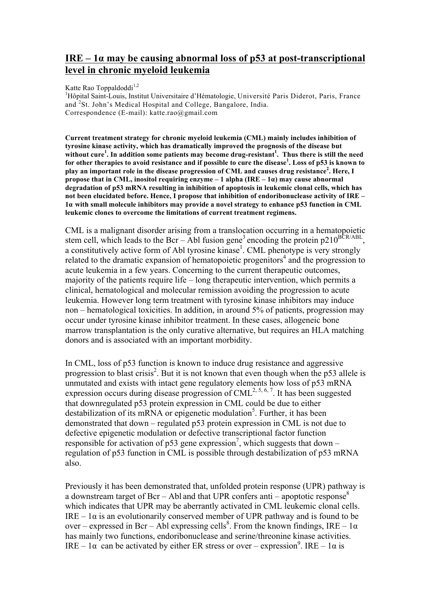## **IRE – 1α may be causing abnormal loss of p53 at post-transcriptional level in chronic myeloid leukemia**

Katte Rao Toppaldoddi<sup>1,2</sup>

<sup>1</sup>Hôpital Saint-Louis, Institut Universitaire d'Hématologie, Université Paris Diderot, Paris, France and <sup>2</sup>St. John's Medical Hospital and College, Bangalore, India. Correspondence (E-mail): katte.rao@gmail.com

**Current treatment strategy for chronic myeloid leukemia (CML) mainly includes inhibition of tyrosine kinase activity, which has dramatically improved the prognosis of the disease but without cure<sup>1</sup> . In addition some patients may become drug-resistant<sup>1</sup> . Thus there is still the need for other therapies to avoid resistance and if possible to cure the disease<sup>1</sup> . Loss of p53 is known to play an important role in the disease progression of CML and causes drug resistance<sup>2</sup> . Here, I propose that in CML, inositol requiring enzyme – 1 alpha (IRE – 1α) may cause abnormal degradation of p53 mRNA resulting in inhibition of apoptosis in leukemic clonal cells, which has not been elucidated before. Hence, I propose that inhibition of endoribonuclease activity of IRE – 1α with small molecule inhibitors may provide a novel strategy to enhance p53 function in CML leukemic clones to overcome the limitations of current treatment regimens.**

CML is a malignant disorder arising from a translocation occurring in a hematopoietic stem cell, which leads to the Bcr – Abl fusion gene<sup>3</sup> encoding the protein p210<sup>BCR/ABL</sup>, a constitutively active form of Abl tyrosine kinase<sup>1</sup>. CML phenotype is very strongly related to the dramatic expansion of hematopoietic progenitors<sup>4</sup> and the progression to acute leukemia in a few years. Concerning to the current therapeutic outcomes, majority of the patients require life – long therapeutic intervention, which permits a clinical, hematological and molecular remission avoiding the progression to acute leukemia. However long term treatment with tyrosine kinase inhibitors may induce non – hematological toxicities. In addition, in around 5% of patients, progression may occur under tyrosine kinase inhibitor treatment. In these cases, allogeneic bone marrow transplantation is the only curative alternative, but requires an HLA matching donors and is associated with an important morbidity.

In CML, loss of p53 function is known to induce drug resistance and aggressive progression to blast crisis<sup>2</sup>. But it is not known that even though when the p53 allele is unmutated and exists with intact gene regulatory elements how loss of p53 mRNA expression occurs during disease progression of  $CML^{2, 5, 6, 7}$ . It has been suggested that downregulated p53 protein expression in CML could be due to either destabilization of its mRNA or epigenetic modulation<sup>5</sup>. Further, it has been demonstrated that down – regulated p53 protein expression in CML is not due to defective epigenetic modulation or defective transcriptional factor function responsible for activation of p53 gene expression<sup>7</sup>, which suggests that down – regulation of p53 function in CML is possible through destabilization of p53 mRNA also.

Previously it has been demonstrated that, unfolded protein response (UPR) pathway is a downstream target of Bcr – Abl and that UPR confers anti – apoptotic response<sup>8</sup> which indicates that UPR may be aberrantly activated in CML leukemic clonal cells. IRE – 1α is an evolutionarily conserved member of UPR pathway and is found to be over – expressed in Bcr – Abl expressing cells<sup>8</sup>. From the known findings, IRE –  $1\alpha$ has mainly two functions, endoribonuclease and serine/threonine kinase activities. IRE – 1α can be activated by either ER stress or over – expression<sup>9</sup>. IRE – 1α is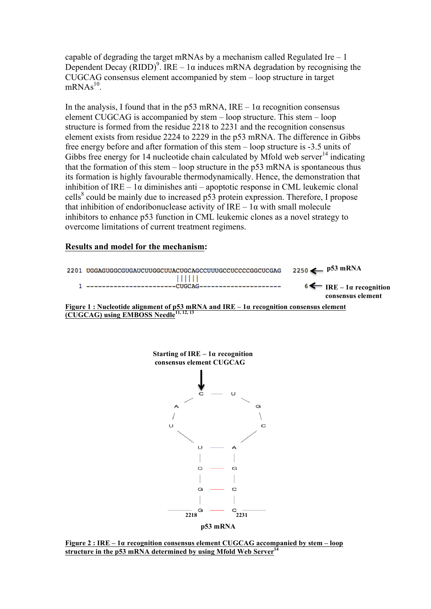capable of degrading the target mRNAs by a mechanism called Regulated Ire  $-1$ Dependent Decay (RIDD)<sup>9</sup>. IRE – 1 $\alpha$  induces mRNA degradation by recognising the CUGCAG consensus element accompanied by stem – loop structure in target  $mRNAs<sup>10</sup>$ .

In the analysis, I found that in the p53 mRNA,  $IRE - 1\alpha$  recognition consensus element CUGCAG is accompanied by stem – loop structure. This stem – loop structure is formed from the residue 2218 to 2231 and the recognition consensus element exists from residue 2224 to 2229 in the p53 mRNA. The difference in Gibbs free energy before and after formation of this stem – loop structure is -3.5 units of Gibbs free energy for 14 nucleotide chain calculated by Mfold web server<sup>14</sup> indicating that the formation of this stem – loop structure in the p53 mRNA is spontaneous thus its formation is highly favourable thermodynamically. Hence, the demonstration that inhibition of IRE –  $1\alpha$  diminishes anti – apoptotic response in CML leukemic clonal cells<sup>8</sup> could be mainly due to increased p53 protein expression. Therefore, I propose that inhibition of endoribonuclease activity of  $IRE - 1\alpha$  with small molecule inhibitors to enhance p53 function in CML leukemic clones as a novel strategy to overcome limitations of current treatment regimens.

## **Results and model for the mechanism:**

|                                                                                                                                                     | 2201 UGGAGUGGCGUGAUCUUGGCUUACUGCAGCCUUUGCCUCCCCGGCUCGAG | $2250 \leftarrow 53 \text{ mRNA}$                                |
|-----------------------------------------------------------------------------------------------------------------------------------------------------|---------------------------------------------------------|------------------------------------------------------------------|
|                                                                                                                                                     |                                                         | $6 \leftarrow$ IRE – 1 <i>a</i> recognition<br>consensus element |
| <u>Figure 1 : Nucleotide alignment of p53 mRNA and IRE – 1a recognition consensus element</u><br>(CUGCAG) using EMBOSS Needle <sup>11, 12, 13</sup> |                                                         |                                                                  |



 **Figure 2 : IRE – <sup>1</sup><sup>α</sup> recognition consensus element CUGCAG accompanied by stem – loop structure in the p53 mRNA determined by using Mfold Web Server<sup>14</sup>**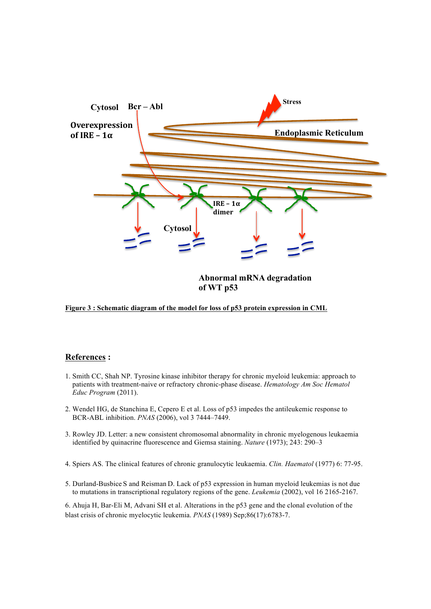

**Figure 3 : Schematic diagram of the model for loss of p53 protein expression in CML**

## **References :**

- 1. Smith CC, Shah NP. Tyrosine kinase inhibitor therapy for chronic myeloid leukemia: approach to patients with treatment-naive or refractory chronic-phase disease. *Hematology Am Soc Hematol Educ Program* (2011).
- 2. Wendel HG, de Stanchina E, Cepero E et al. Loss of p53 impedes the antileukemic response to BCR-ABL inhibition. *PNAS* (2006), vol 3 7444–7449.
- 3. Rowley JD. Letter: a new consistent chromosomal abnormality in chronic myelogenous leukaemia identified by quinacrine fluorescence and Giemsa staining. *Nature* (1973); 243: 290–3
- 4. Spiers AS. The clinical features of chronic granulocytic leukaemia. *Clin. Haematol* (1977) 6: 77-95.
- 5. Durland-Busbice S and Reisman D. Lack of p53 expression in human myeloid leukemias is not due to mutations in transcriptional regulatory regions of the gene. *Leukemia* (2002), vol 16 2165-2167.

6. Ahuja H, Bar-Eli M, Advani SH et al. Alterations in the p53 gene and the clonal evolution of the blast crisis of chronic myelocytic leukemia. *PNAS* (1989) Sep;86(17):6783-7.